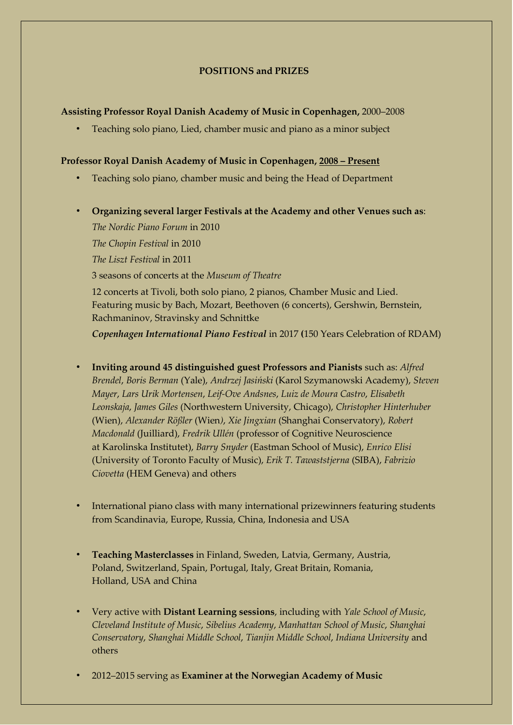## **POSITIONS and PRIZES**

### **Assisting Professor Royal Danish Academy of Music in Copenhagen,** 2000–2008

• Teaching solo piano, Lied, chamber music and piano as a minor subject

## **Professor Royal Danish Academy of Music in Copenhagen, 2008 – Present**

- Teaching solo piano, chamber music and being the Head of Department
- **Organizing several larger Festivals at the Academy and other Venues such as**:

*The Nordic Piano Forum* in 2010 *The Chopin Festival* in 2010 *The Liszt Festival* in 2011 3 seasons of concerts at the *Museum of Theatre* 12 concerts at Tivoli, both solo piano, 2 pianos, Chamber Music and Lied.

Featuring music by Bach, Mozart, Beethoven (6 concerts), Gershwin, Bernstein, Rachmaninov, Stravinsky and Schnittke

*Copenhagen International Piano Festival* in 2017 **(**150 Years Celebration of RDAM)

- **Inviting around 45 distinguished guest Professors and Pianists** such as: *Alfred Brendel*, *Boris Berman* (Yale), *Andrzej Jasiński* (Karol Szymanowski Academy), *Steven Mayer*, *Lars Urik Mortensen*, *Leif-Ove Andsnes*, *Luiz de Moura Castro*, *Elisabeth Leonskaja*, *James Giles* (Northwestern University, Chicago), *Christopher Hinterhuber*  (Wien), *Alexander Rößler* (Wien*)*, *Xie Jingxian* (Shanghai Conservatory), *Robert Macdonald* (Juilliard), *Fredrik Ullén* (professor of Cognitive Neuroscience at Karolinska Institutet), *Barry Snyder* (Eastman School of Music), *Enrico Elisi* (University of Toronto Faculty of Music), *Erik T. Tawaststjerna* (SIBA), *Fabrizio Ciovetta* (HEM Geneva) and others
- International piano class with many international prizewinners featuring students from Scandinavia, Europe, Russia, China, Indonesia and USA
- **Teaching Masterclasses** in Finland, Sweden, Latvia, Germany, Austria, Poland, Switzerland, Spain, Portugal, Italy, Great Britain, Romania, Holland, USA and China
- Very active with **Distant Learning sessions**, including with *Yale School of Music*, *Cleveland Institute of Music*, *Sibelius Academy*, *Manhattan School of Music*, *Shanghai Conservatory*, *Shanghai Middle School*, *Tianjin Middle School*, *Indiana University* and others
- 2012–2015 serving as **Examiner at the Norwegian Academy of Music**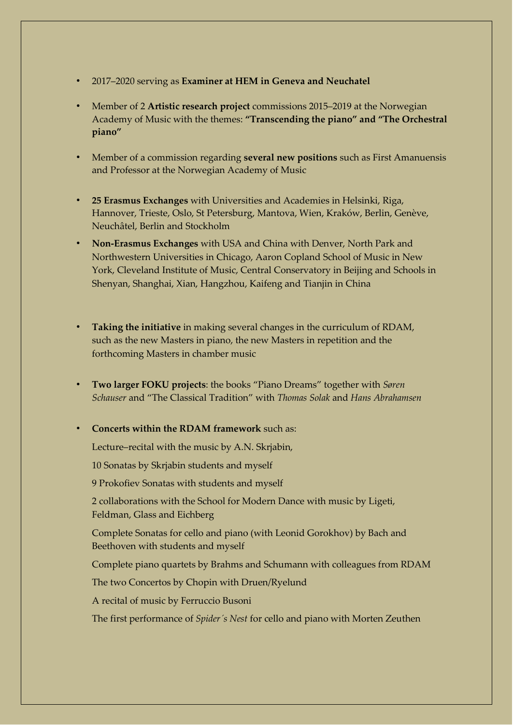- 2017–2020 serving as **Examiner at HEM in Geneva and Neuchatel**
- Member of 2 **Artistic research project** commissions 2015–2019 at the Norwegian Academy of Music with the themes: **"Transcending the piano" and "The Orchestral piano"**
- Member of a commission regarding **several new positions** such as First Amanuensis and Professor at the Norwegian Academy of Music
- **25 Erasmus Exchanges** with Universities and Academies in Helsinki, Riga, Hannover, Trieste, Oslo, St Petersburg, Mantova, Wien, Kraków, Berlin, Genève, Neuchâtel, Berlin and Stockholm
- **Non-Erasmus Exchanges** with USA and China with Denver, North Park and Northwestern Universities in Chicago, Aaron Copland School of Music in New York, Cleveland Institute of Music, Central Conservatory in Beijing and Schools in Shenyan, Shanghai, Xian, Hangzhou, Kaifeng and Tianjin in China
- **Taking the initiative** in making several changes in the curriculum of RDAM, such as the new Masters in piano, the new Masters in repetition and the forthcoming Masters in chamber music
- **Two larger FOKU projects**: the books "Piano Dreams" together with *Søren Schauser* and "The Classical Tradition" with *Thomas Solak* and *Hans Abrahamsen*
- **Concerts within the RDAM framework** such as:

Lecture–recital with the music by A.N. Skrjabin,

10 Sonatas by Skrjabin students and myself

9 Prokofiev Sonatas with students and myself

2 collaborations with the School for Modern Dance with music by Ligeti, Feldman, Glass and Eichberg

Complete Sonatas for cello and piano (with Leonid Gorokhov) by Bach and Beethoven with students and myself

Complete piano quartets by Brahms and Schumann with colleagues from RDAM

The two Concertos by Chopin with Druen/Ryelund

A recital of music by Ferruccio Busoni

The first performance of *Spider´s Nest* for cello and piano with Morten Zeuthen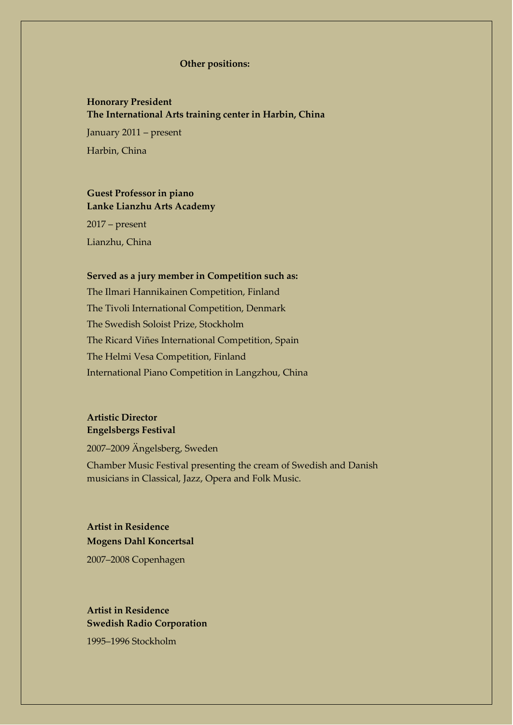#### **Other positions:**

## **Honorary President The International Arts training center in Harbin, China**

 January 2011 – present Harbin, China

## **Guest Professor in piano Lanke Lianzhu Arts Academy**

2017 – present Lianzhu, China

#### **Served as a jury member in Competition such as:**

The Ilmari Hannikainen Competition, Finland The Tivoli International Competition, Denmark The Swedish Soloist Prize, Stockholm The Ricard Viñes International Competition, Spain The Helmi Vesa Competition, Finland International Piano Competition in Langzhou, China

# **Artistic Director Engelsbergs Festiv[al](http://www.linkedin.com/search?search&%3Bcompany=Engelsbergs%2BFestival&%3BsortCriteria=R&%3BkeepFacets=true&%3Btrk=prof-exp-company-name)**

2007–2009 Ängelsberg, Sweden

Chamber Music Festival presenting the cream of Swedish and Danish musicians in Classical, Jazz, Opera and Folk Music.

# **Artist in Residence Mogens Dahl Koncertsal**

2007–2008 Copenhagen

## **Artist in Residence [Swedish Radio Corpor](http://www.linkedin.com/search?search&%3Bcompany=Swedish%2BRadio%2BCorp&%3BsortCriteria=R&%3BkeepFacets=true&%3Btrk=prof-exp-company-name)ation**

1995–1996 Stockholm